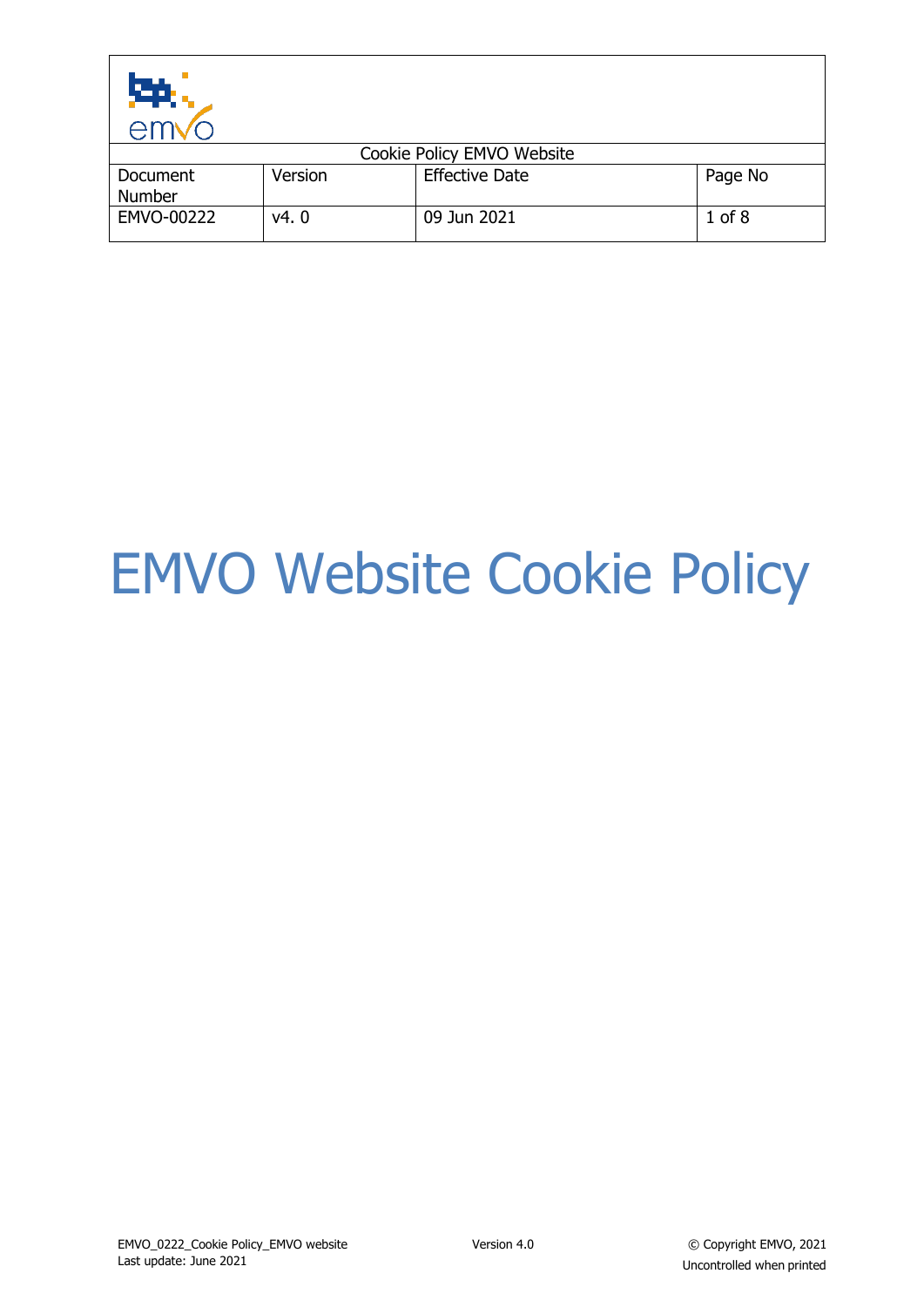| ЕÞ.<br>em                 |         |                            |            |
|---------------------------|---------|----------------------------|------------|
|                           |         | Cookie Policy EMVO Website |            |
| Document<br><b>Number</b> | Version | <b>Effective Date</b>      | Page No    |
| EMVO-00222                | v4.0    | 09 Jun 2021                | $1$ of $8$ |

# EMVO Website Cookie Policy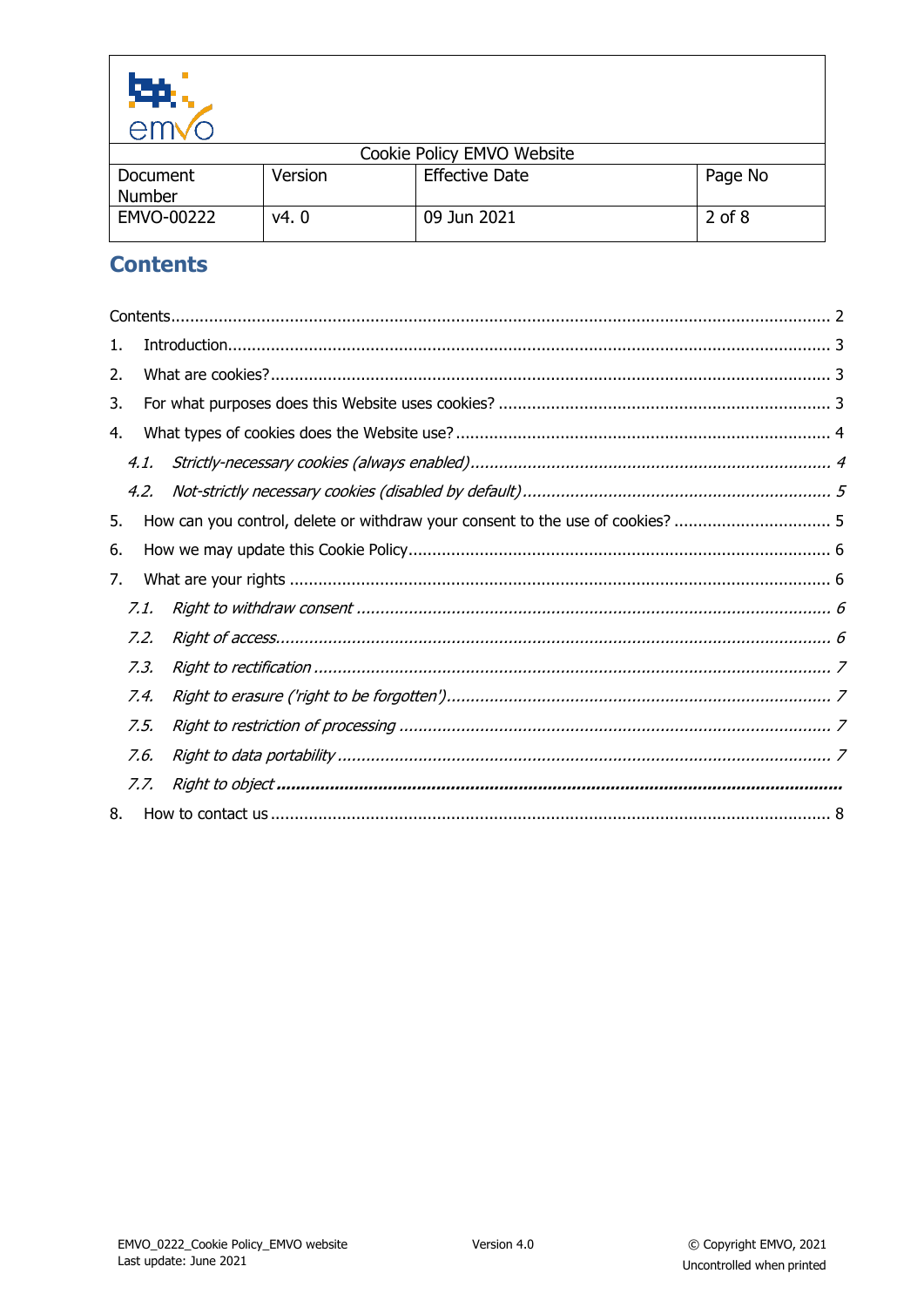

| _______       |         |                            |            |
|---------------|---------|----------------------------|------------|
|               |         | Cookie Policy EMVO Website |            |
| Document      | Version | <b>Effective Date</b>      | Page No    |
| <b>Number</b> |         |                            |            |
| EMVO-00222    | v4. 0   | 09 Jun 2021                | $2$ of $8$ |
|               |         |                            |            |

# <span id="page-1-0"></span>**Contents**

| 1.   |                                                                                |  |
|------|--------------------------------------------------------------------------------|--|
| 2.   |                                                                                |  |
| 3.   |                                                                                |  |
| 4.   |                                                                                |  |
| 4.1. |                                                                                |  |
| 4.2. |                                                                                |  |
| 5.   | How can you control, delete or withdraw your consent to the use of cookies?  5 |  |
| 6.   |                                                                                |  |
| 7.   |                                                                                |  |
| 7.1. |                                                                                |  |
| 7.2. |                                                                                |  |
| 7.3. |                                                                                |  |
| 7.4. |                                                                                |  |
| 7.5. |                                                                                |  |
| 7.6. |                                                                                |  |
| 7.7. |                                                                                |  |
| 8.   |                                                                                |  |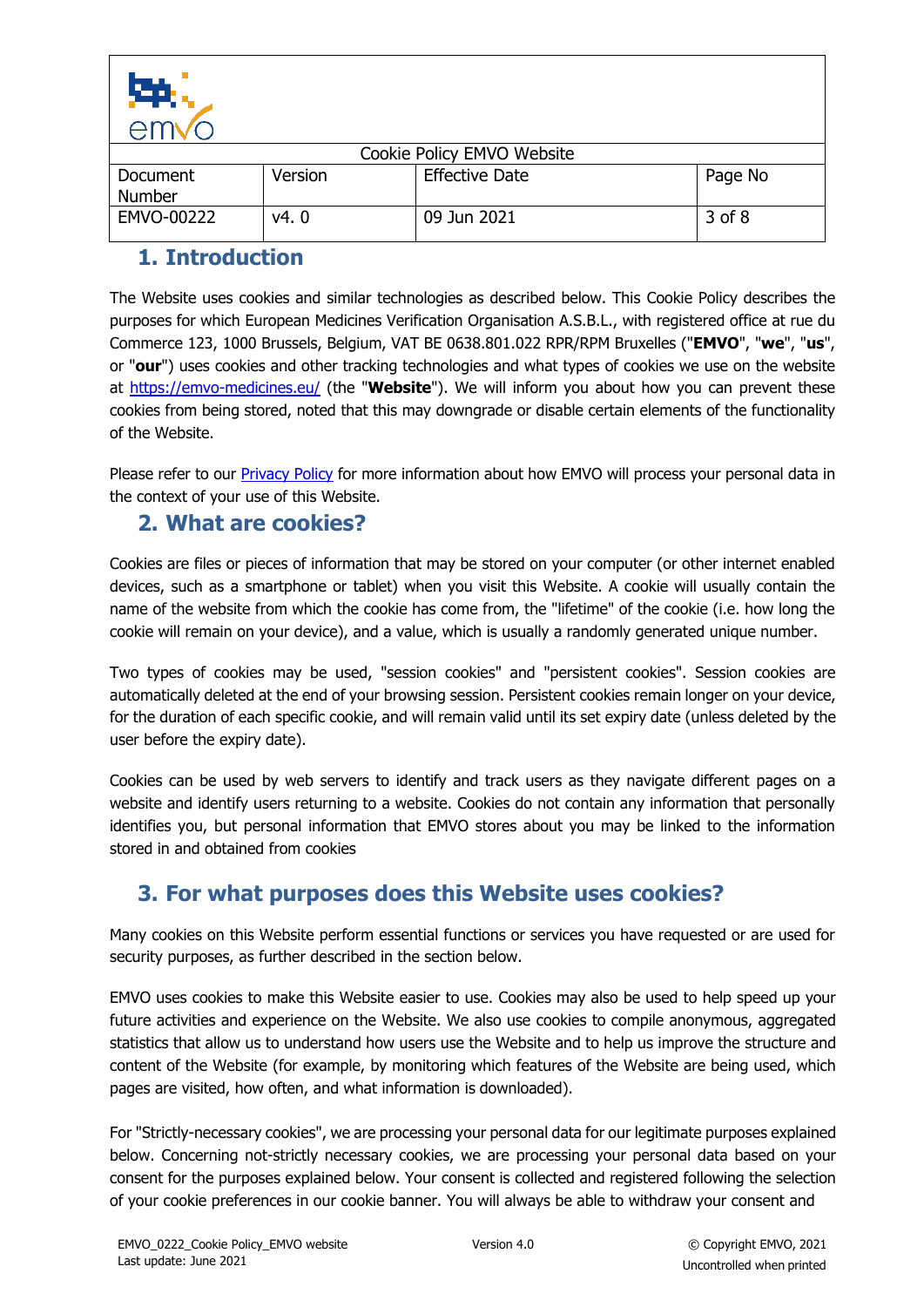

| UTTIV U                   |         |                            |         |
|---------------------------|---------|----------------------------|---------|
|                           |         | Cookie Policy EMVO Website |         |
| Document<br><b>Number</b> | Version | <b>Effective Date</b>      | Page No |
| EMVO-00222                | v4. 0   | 09 Jun 2021                | 3 of 8  |

# <span id="page-2-0"></span>**1. Introduction**

The Website uses cookies and similar technologies as described below. This Cookie Policy describes the purposes for which European Medicines Verification Organisation A.S.B.L., with registered office at rue du Commerce 123, 1000 Brussels, Belgium, VAT BE 0638.801.022 RPR/RPM Bruxelles ("**EMVO**", "**we**", "**us**", or "**our**") uses cookies and other tracking technologies and what types of cookies we use on the website at<https://emvo-medicines.eu/> (the "**Website**"). We will inform you about how you can prevent these cookies from being stored, noted that this may downgrade or disable certain elements of the functionality of the Website.

Please refer to our [Privacy Policy](https://emvo-medicines.eu/document/privacy-policy/) for more information about how EMVO will process your personal data in the context of your use of this Website.

#### <span id="page-2-1"></span>**2. What are cookies?**

Cookies are files or pieces of information that may be stored on your computer (or other internet enabled devices, such as a smartphone or tablet) when you visit this Website. A cookie will usually contain the name of the website from which the cookie has come from, the "lifetime" of the cookie (i.e. how long the cookie will remain on your device), and a value, which is usually a randomly generated unique number.

Two types of cookies may be used, "session cookies" and "persistent cookies". Session cookies are automatically deleted at the end of your browsing session. Persistent cookies remain longer on your device, for the duration of each specific cookie, and will remain valid until its set expiry date (unless deleted by the user before the expiry date).

Cookies can be used by web servers to identify and track users as they navigate different pages on a website and identify users returning to a website. Cookies do not contain any information that personally identifies you, but personal information that EMVO stores about you may be linked to the information stored in and obtained from cookies

# <span id="page-2-2"></span>**3. For what purposes does this Website uses cookies?**

Many cookies on this Website perform essential functions or services you have requested or are used for security purposes, as further described in the section below.

EMVO uses cookies to make this Website easier to use. Cookies may also be used to help speed up your future activities and experience on the Website. We also use cookies to compile anonymous, aggregated statistics that allow us to understand how users use the Website and to help us improve the structure and content of the Website (for example, by monitoring which features of the Website are being used, which pages are visited, how often, and what information is downloaded).

For "Strictly-necessary cookies", we are processing your personal data for our legitimate purposes explained below. Concerning not-strictly necessary cookies, we are processing your personal data based on your consent for the purposes explained below. Your consent is collected and registered following the selection of your cookie preferences in our cookie banner. You will always be able to withdraw your consent and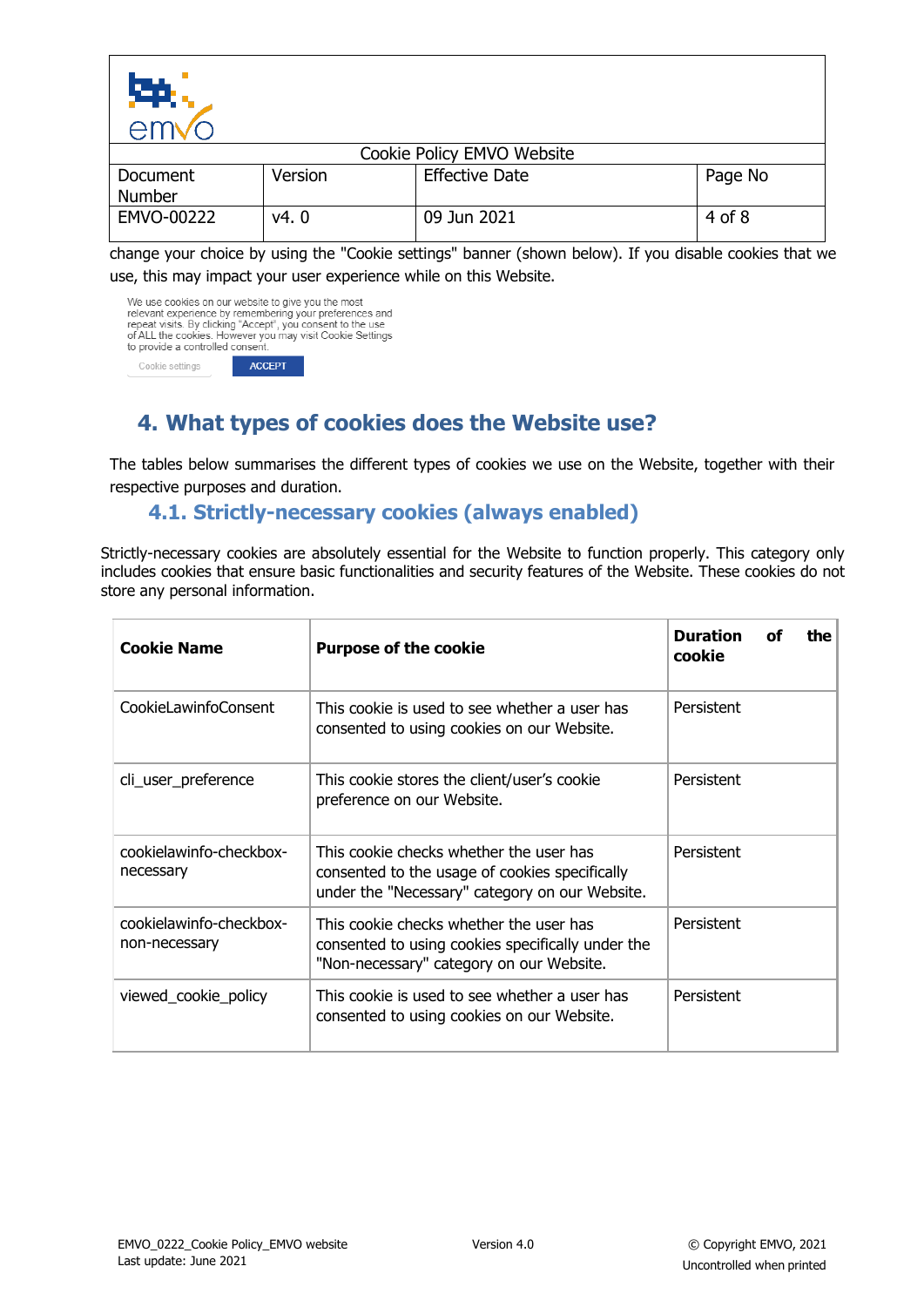

change your choice by using the "Cookie settings" banner (shown below). If you disable cookies that we use, this may impact your user experience while on this Website.

| We use cookies on our website to give you the most<br>relevant experience by remembering your preferences and<br>repeat visits. By clicking "Accept", you consent to the use<br>of ALL the cookies. However you may visit Cookie Settings<br>to provide a controlled consent. |               |  |
|-------------------------------------------------------------------------------------------------------------------------------------------------------------------------------------------------------------------------------------------------------------------------------|---------------|--|
| Cookie settings                                                                                                                                                                                                                                                               | <b>ACCEPT</b> |  |

# <span id="page-3-0"></span>**4. What types of cookies does the Website use?**

The tables below summarises the different types of cookies we use on the Website, together with their respective purposes and duration.

#### **4.1. Strictly-necessary cookies (always enabled)**

<span id="page-3-1"></span>Strictly-necessary cookies are absolutely essential for the Website to function properly. This category only includes cookies that ensure basic functionalities and security features of the Website. These cookies do not store any personal information.

| <b>Cookie Name</b>                       | <b>Purpose of the cookie</b>                                                                                                                | <b>Duration</b><br>the<br>Ωf<br>cookie |
|------------------------------------------|---------------------------------------------------------------------------------------------------------------------------------------------|----------------------------------------|
| CookieLawinfoConsent                     | This cookie is used to see whether a user has<br>consented to using cookies on our Website.                                                 | Persistent                             |
| cli_user_preference                      | This cookie stores the client/user's cookie<br>preference on our Website.                                                                   | Persistent                             |
| cookielawinfo-checkbox-<br>necessary     | This cookie checks whether the user has<br>consented to the usage of cookies specifically<br>under the "Necessary" category on our Website. | Persistent                             |
| cookielawinfo-checkbox-<br>non-necessary | This cookie checks whether the user has<br>consented to using cookies specifically under the<br>"Non-necessary" category on our Website.    | Persistent                             |
| viewed_cookie_policy                     | This cookie is used to see whether a user has<br>consented to using cookies on our Website.                                                 | Persistent                             |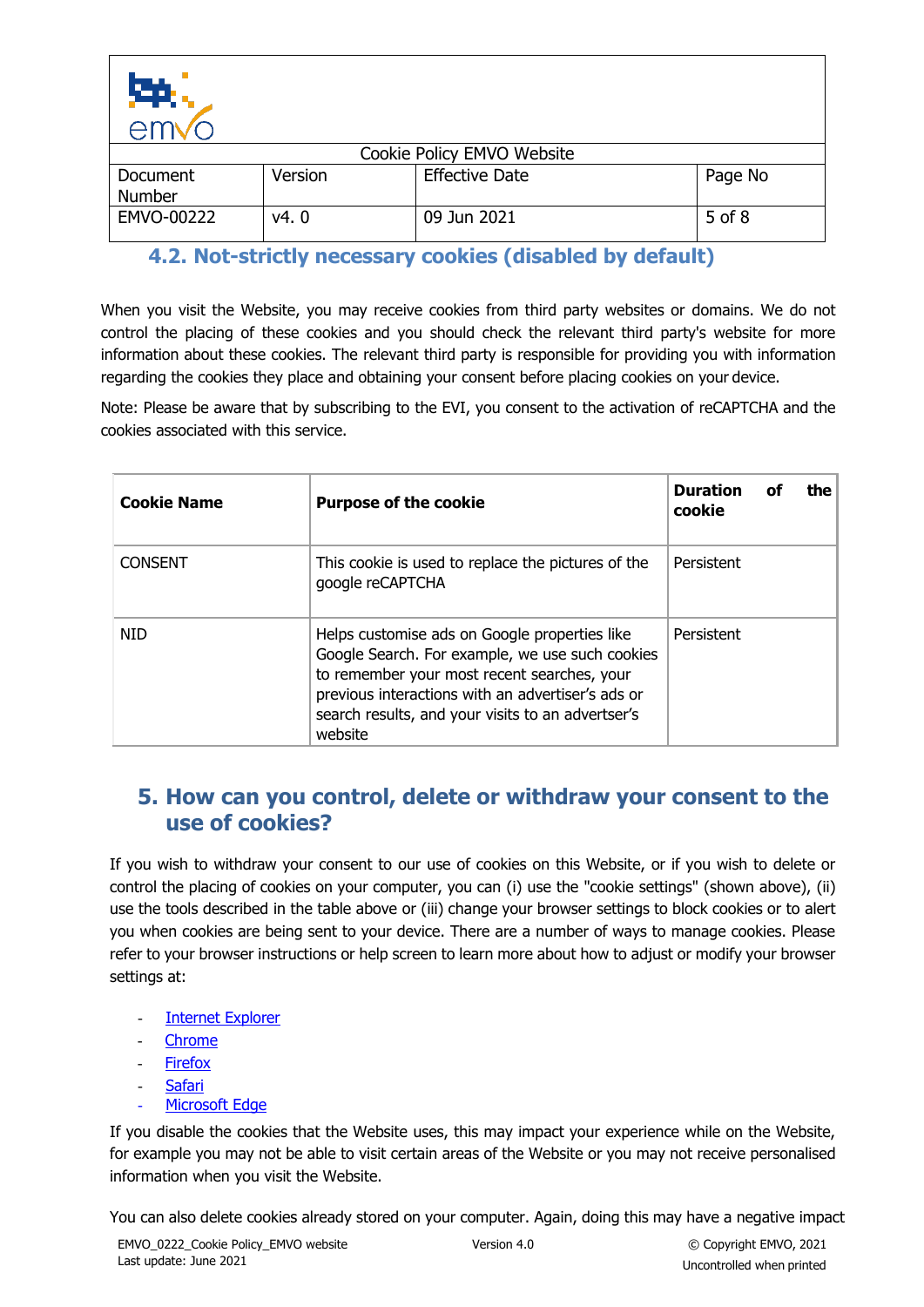

| <b>CHIV</b>               |         |                            |            |
|---------------------------|---------|----------------------------|------------|
|                           |         | Cookie Policy EMVO Website |            |
| Document<br><b>Number</b> | Version | <b>Effective Date</b>      | Page No    |
| EMVO-00222                | v4.0    | 09 Jun 2021                | $5$ of $8$ |

# <span id="page-4-0"></span>**4.2. Not-strictly necessary cookies (disabled by default)**

When you visit the Website, you may receive cookies from third party websites or domains. We do not control the placing of these cookies and you should check the relevant third party's website for more information about these cookies. The relevant third party is responsible for providing you with information regarding the cookies they place and obtaining your consent before placing cookies on your device.

Note: Please be aware that by subscribing to the EVI, you consent to the activation of reCAPTCHA and the cookies associated with this service.

| <b>Cookie Name</b> | <b>Purpose of the cookie</b>                                                                                                                                                                                                                                         | <b>Duration</b><br>the<br>οf<br>cookie |
|--------------------|----------------------------------------------------------------------------------------------------------------------------------------------------------------------------------------------------------------------------------------------------------------------|----------------------------------------|
| <b>CONSENT</b>     | This cookie is used to replace the pictures of the<br>google reCAPTCHA                                                                                                                                                                                               | Persistent                             |
| <b>NID</b>         | Helps customise ads on Google properties like<br>Google Search. For example, we use such cookies<br>to remember your most recent searches, your<br>previous interactions with an advertiser's ads or<br>search results, and your visits to an advertser's<br>website | Persistent                             |

#### <span id="page-4-1"></span>**5. How can you control, delete or withdraw your consent to the use of cookies?**

If you wish to withdraw your consent to our use of cookies on this Website, or if you wish to delete or control the placing of cookies on your computer, you can (i) use the "cookie settings" (shown above), (ii) use the tools described in the table above or (iii) change your browser settings to block cookies or to alert you when cookies are being sent to your device. There are a number of ways to manage cookies. Please refer to your browser instructions or help screen to learn more about how to adjust or modify your browser settings at:

- **Internet [Explorer](https://support.microsoft.com/en-us/help/17442/windows-internet-explorer-delete-manage-cookies)**
- **[Chrome](https://support.google.com/chrome/answer/95647?co=GENIE.Platform%3DDesktop&hl=en)**
- [Firefox](http://support.mozilla.org/en-US/kb/enable-and-disable-cookies-website-preferences?s=cookies&r=5&as=s)
- **[Safari](https://support.apple.com/en-gb/guide/safari/sfri11471/mac)**
- [Microsoft Edge](https://support.microsoft.com/en-us/microsoft-edge/view-cookies-in-microsoft-edge-a7d95376-f2cd-8e4a-25dc-1de753474879)

If you disable the cookies that the Website uses, this may impact your experience while on the Website, for example you may not be able to visit certain areas of the Website or you may not receive personalised information when you visit the Website.

You can also delete cookies already stored on your computer. Again, doing this may have a negative impact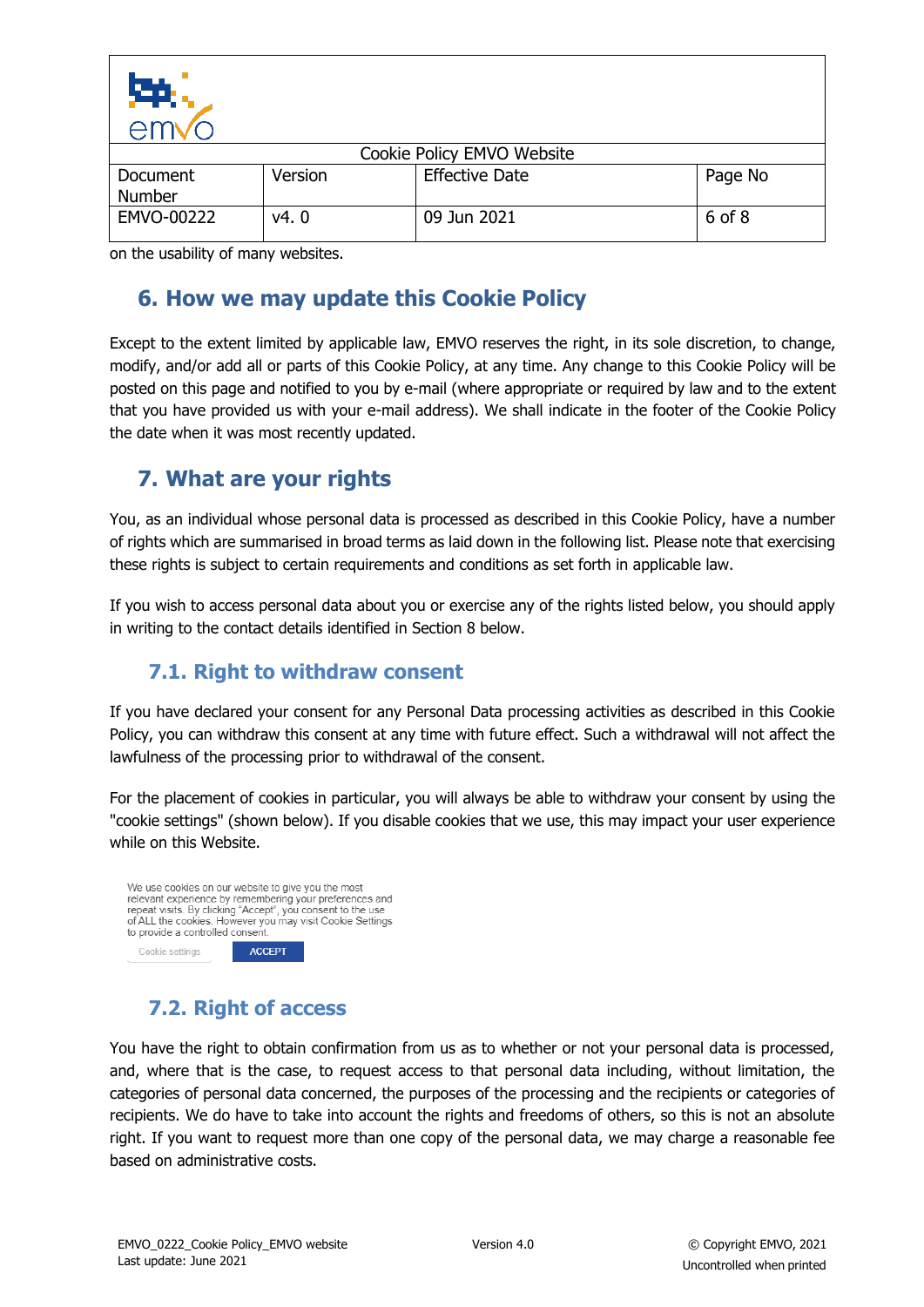

| CITIVU                    |         |                            |         |
|---------------------------|---------|----------------------------|---------|
|                           |         | Cookie Policy EMVO Website |         |
| Document<br><b>Number</b> | Version | <b>Effective Date</b>      | Page No |
| EMVO-00222                | v4.0    | 09 Jun 2021                | 6 of 8  |

on the usability of many websites.

# <span id="page-5-0"></span>**6. How we may update this Cookie Policy**

Except to the extent limited by applicable law, EMVO reserves the right, in its sole discretion, to change, modify, and/or add all or parts of this Cookie Policy, at any time. Any change to this Cookie Policy will be posted on this page and notified to you by e-mail (where appropriate or required by law and to the extent that you have provided us with your e-mail address). We shall indicate in the footer of the Cookie Policy the date when it was most recently updated.

# <span id="page-5-1"></span>**7. What are your rights**

You, as an individual whose personal data is processed as described in this Cookie Policy, have a number of rights which are summarised in broad terms as laid down in the following list. Please note that exercising these rights is subject to certain requirements and conditions as set forth in applicable law.

If you wish to access personal data about you or exercise any of the rights listed below, you should apply in writing to the contact details identified in Section [8](#page-7-0) below.

## **7.1. Right to withdraw consent**

<span id="page-5-2"></span>If you have declared your consent for any Personal Data processing activities as described in this Cookie Policy, you can withdraw this consent at any time with future effect. Such a withdrawal will not affect the lawfulness of the processing prior to withdrawal of the consent.

For the placement of cookies in particular, you will always be able to withdraw your consent by using the "cookie settings" (shown below). If you disable cookies that we use, this may impact your user experience while on this Website.



## **7.2. Right of access**

<span id="page-5-3"></span>You have the right to obtain confirmation from us as to whether or not your personal data is processed, and, where that is the case, to request access to that personal data including, without limitation, the categories of personal data concerned, the purposes of the processing and the recipients or categories of recipients. We do have to take into account the rights and freedoms of others, so this is not an absolute right. If you want to request more than one copy of the personal data, we may charge a reasonable fee based on administrative costs.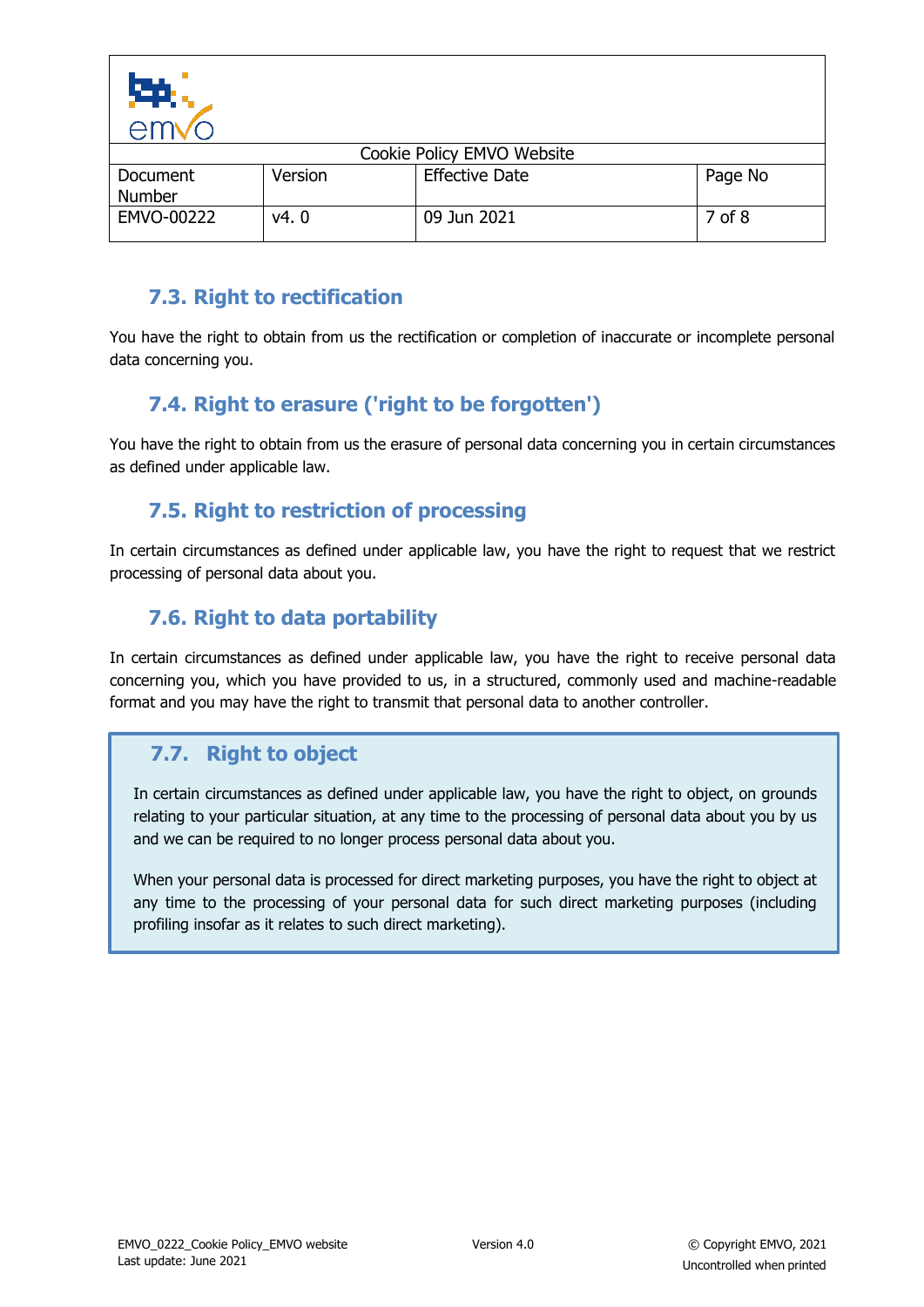

| ⇒HIV(                     |         |                            |         |
|---------------------------|---------|----------------------------|---------|
|                           |         | Cookie Policy EMVO Website |         |
| Document<br><b>Number</b> | Version | <b>Effective Date</b>      | Page No |
| EMVO-00222                | v4.0    | 09 Jun 2021                | 7 of 8  |

## **7.3. Right to rectification**

<span id="page-6-0"></span>You have the right to obtain from us the rectification or completion of inaccurate or incomplete personal data concerning you.

# **7.4. Right to erasure ('right to be forgotten')**

<span id="page-6-1"></span>You have the right to obtain from us the erasure of personal data concerning you in certain circumstances as defined under applicable law.

## **7.5. Right to restriction of processing**

<span id="page-6-2"></span>In certain circumstances as defined under applicable law, you have the right to request that we restrict processing of personal data about you.

## **7.6. Right to data portability**

<span id="page-6-3"></span>In certain circumstances as defined under applicable law, you have the right to receive personal data concerning you, which you have provided to us, in a structured, commonly used and machine-readable format and you may have the right to transmit that personal data to another controller.

# **7.7. Right to object**

In certain circumstances as defined under applicable law, you have the right to object, on grounds relating to your particular situation, at any time to the processing of personal data about you by us and we can be required to no longer process personal data about you.

When your personal data is processed for direct marketing purposes, you have the right to object at any time to the processing of your personal data for such direct marketing purposes (including profiling insofar as it relates to such direct marketing).